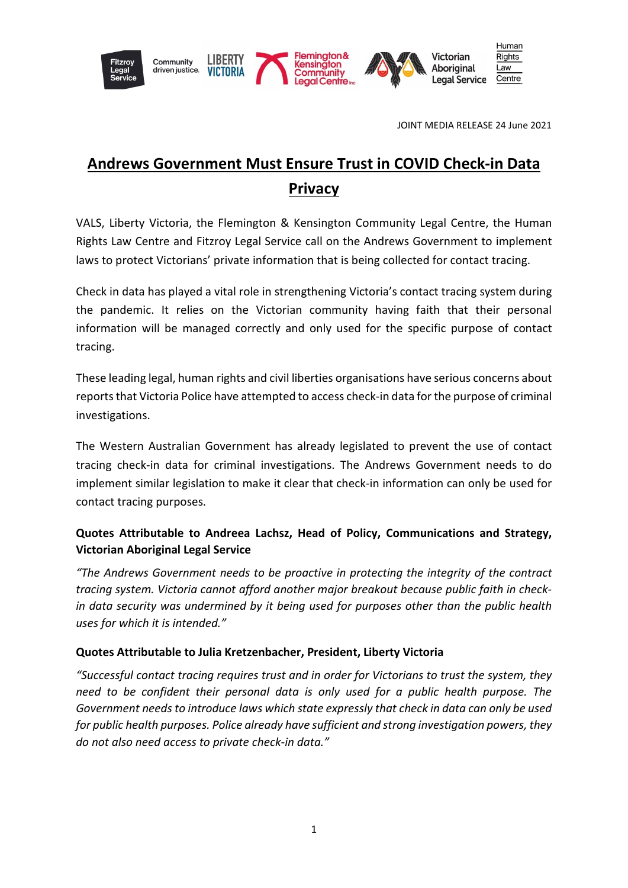

LIBERTY Community driven justice.





JOINT MEDIA RELEASE 24 June 2021

# **Andrews Government Must Ensure Trust in COVID Check-in Data Privacy**

VALS, Liberty Victoria, the Flemington & Kensington Community Legal Centre, the Human Rights Law Centre and Fitzroy Legal Service call on the Andrews Government to implement laws to protect Victorians' private information that is being collected for contact tracing.

Check in data has played a vital role in strengthening Victoria's contact tracing system during the pandemic. It relies on the Victorian community having faith that their personal information will be managed correctly and only used for the specific purpose of contact tracing.

These leading legal, human rights and civil liberties organisations have serious concerns about reports that Victoria Police have attempted to access check-in data for the purpose of criminal investigations.

The Western Australian Government has already legislated to prevent the use of contact tracing check-in data for criminal investigations. The Andrews Government needs to do implement similar legislation to make it clear that check-in information can only be used for contact tracing purposes.

# **Quotes Attributable to Andreea Lachsz, Head of Policy, Communications and Strategy, Victorian Aboriginal Legal Service**

*"The Andrews Government needs to be proactive in protecting the integrity of the contract tracing system. Victoria cannot afford another major breakout because public faith in checkin data security was undermined by it being used for purposes other than the public health uses for which it is intended."*

### **Quotes Attributable to Julia Kretzenbacher, President, Liberty Victoria**

*"Successful contact tracing requires trust and in order for Victorians to trust the system, they need to be confident their personal data is only used for a public health purpose. The Government needs to introduce laws which state expressly that check in data can only be used for public health purposes. Police already have sufficient and strong investigation powers, they do not also need access to private check-in data."*